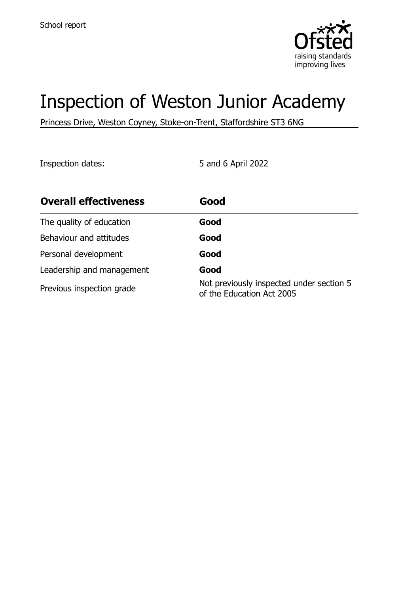

# Inspection of Weston Junior Academy

Princess Drive, Weston Coyney, Stoke-on-Trent, Staffordshire ST3 6NG

Inspection dates: 5 and 6 April 2022

| <b>Overall effectiveness</b> | Good                                                                  |
|------------------------------|-----------------------------------------------------------------------|
| The quality of education     | Good                                                                  |
| Behaviour and attitudes      | Good                                                                  |
| Personal development         | Good                                                                  |
| Leadership and management    | Good                                                                  |
| Previous inspection grade    | Not previously inspected under section 5<br>of the Education Act 2005 |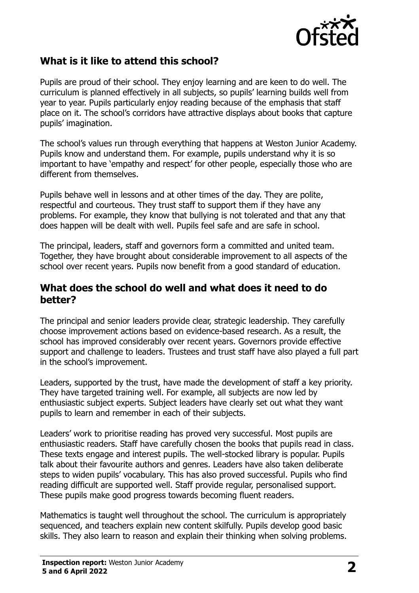

## **What is it like to attend this school?**

Pupils are proud of their school. They enjoy learning and are keen to do well. The curriculum is planned effectively in all subjects, so pupils' learning builds well from year to year. Pupils particularly enjoy reading because of the emphasis that staff place on it. The school's corridors have attractive displays about books that capture pupils' imagination.

The school's values run through everything that happens at Weston Junior Academy. Pupils know and understand them. For example, pupils understand why it is so important to have 'empathy and respect' for other people, especially those who are different from themselves.

Pupils behave well in lessons and at other times of the day. They are polite, respectful and courteous. They trust staff to support them if they have any problems. For example, they know that bullying is not tolerated and that any that does happen will be dealt with well. Pupils feel safe and are safe in school.

The principal, leaders, staff and governors form a committed and united team. Together, they have brought about considerable improvement to all aspects of the school over recent years. Pupils now benefit from a good standard of education.

#### **What does the school do well and what does it need to do better?**

The principal and senior leaders provide clear, strategic leadership. They carefully choose improvement actions based on evidence-based research. As a result, the school has improved considerably over recent years. Governors provide effective support and challenge to leaders. Trustees and trust staff have also played a full part in the school's improvement.

Leaders, supported by the trust, have made the development of staff a key priority. They have targeted training well. For example, all subjects are now led by enthusiastic subject experts. Subject leaders have clearly set out what they want pupils to learn and remember in each of their subjects.

Leaders' work to prioritise reading has proved very successful. Most pupils are enthusiastic readers. Staff have carefully chosen the books that pupils read in class. These texts engage and interest pupils. The well-stocked library is popular. Pupils talk about their favourite authors and genres. Leaders have also taken deliberate steps to widen pupils' vocabulary. This has also proved successful. Pupils who find reading difficult are supported well. Staff provide regular, personalised support. These pupils make good progress towards becoming fluent readers.

Mathematics is taught well throughout the school. The curriculum is appropriately sequenced, and teachers explain new content skilfully. Pupils develop good basic skills. They also learn to reason and explain their thinking when solving problems.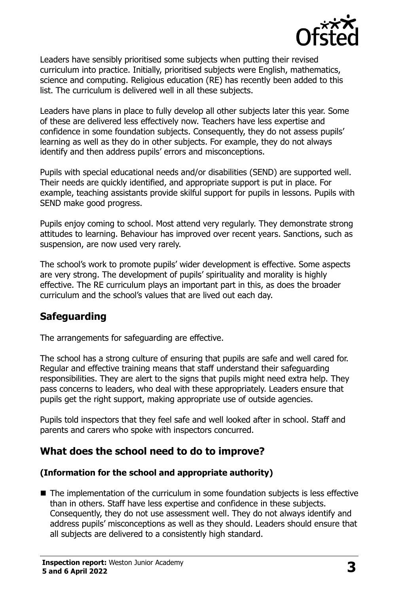

Leaders have sensibly prioritised some subjects when putting their revised curriculum into practice. Initially, prioritised subjects were English, mathematics, science and computing. Religious education (RE) has recently been added to this list. The curriculum is delivered well in all these subjects.

Leaders have plans in place to fully develop all other subjects later this year. Some of these are delivered less effectively now. Teachers have less expertise and confidence in some foundation subjects. Consequently, they do not assess pupils' learning as well as they do in other subjects. For example, they do not always identify and then address pupils' errors and misconceptions.

Pupils with special educational needs and/or disabilities (SEND) are supported well. Their needs are quickly identified, and appropriate support is put in place. For example, teaching assistants provide skilful support for pupils in lessons. Pupils with SEND make good progress.

Pupils enjoy coming to school. Most attend very regularly. They demonstrate strong attitudes to learning. Behaviour has improved over recent years. Sanctions, such as suspension, are now used very rarely.

The school's work to promote pupils' wider development is effective. Some aspects are very strong. The development of pupils' spirituality and morality is highly effective. The RE curriculum plays an important part in this, as does the broader curriculum and the school's values that are lived out each day.

## **Safeguarding**

The arrangements for safeguarding are effective.

The school has a strong culture of ensuring that pupils are safe and well cared for. Regular and effective training means that staff understand their safeguarding responsibilities. They are alert to the signs that pupils might need extra help. They pass concerns to leaders, who deal with these appropriately. Leaders ensure that pupils get the right support, making appropriate use of outside agencies.

Pupils told inspectors that they feel safe and well looked after in school. Staff and parents and carers who spoke with inspectors concurred.

## **What does the school need to do to improve?**

#### **(Information for the school and appropriate authority)**

■ The implementation of the curriculum in some foundation subjects is less effective than in others. Staff have less expertise and confidence in these subjects. Consequently, they do not use assessment well. They do not always identify and address pupils' misconceptions as well as they should. Leaders should ensure that all subjects are delivered to a consistently high standard.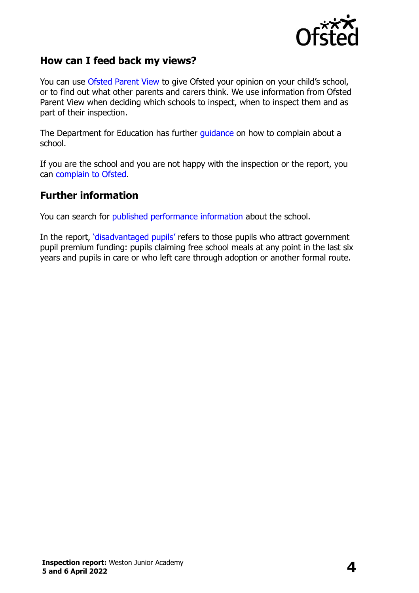

### **How can I feed back my views?**

You can use [Ofsted Parent View](http://parentview.ofsted.gov.uk/) to give Ofsted your opinion on your child's school, or to find out what other parents and carers think. We use information from Ofsted Parent View when deciding which schools to inspect, when to inspect them and as part of their inspection.

The Department for Education has further [guidance](http://www.gov.uk/complain-about-school) on how to complain about a school.

If you are the school and you are not happy with the inspection or the report, you can [complain to Ofsted.](http://www.gov.uk/complain-ofsted-report)

#### **Further information**

You can search for [published performance information](http://www.compare-school-performance.service.gov.uk/) about the school.

In the report, '[disadvantaged pupils](http://www.gov.uk/guidance/pupil-premium-information-for-schools-and-alternative-provision-settings)' refers to those pupils who attract government pupil premium funding: pupils claiming free school meals at any point in the last six years and pupils in care or who left care through adoption or another formal route.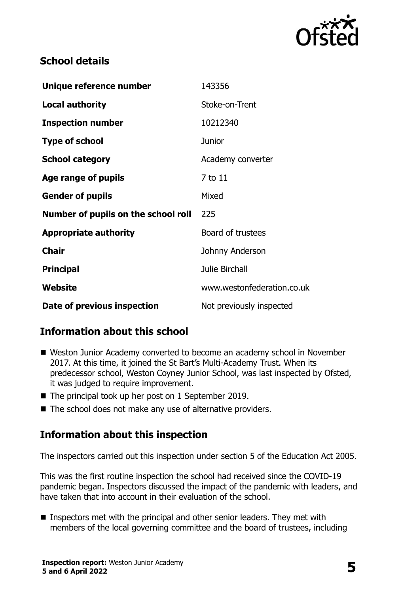

## **School details**

| Unique reference number             | 143356                     |
|-------------------------------------|----------------------------|
| <b>Local authority</b>              | Stoke-on-Trent             |
| <b>Inspection number</b>            | 10212340                   |
| <b>Type of school</b>               | <b>Junior</b>              |
| <b>School category</b>              | Academy converter          |
| Age range of pupils                 | 7 to 11                    |
| <b>Gender of pupils</b>             | Mixed                      |
| Number of pupils on the school roll | 225                        |
| <b>Appropriate authority</b>        | Board of trustees          |
| <b>Chair</b>                        | Johnny Anderson            |
| <b>Principal</b>                    | <b>Julie Birchall</b>      |
| Website                             | www.westonfederation.co.uk |
| Date of previous inspection         | Not previously inspected   |

## **Information about this school**

- Weston Junior Academy converted to become an academy school in November 2017. At this time, it joined the St Bart's Multi-Academy Trust. When its predecessor school, Weston Coyney Junior School, was last inspected by Ofsted, it was judged to require improvement.
- The principal took up her post on 1 September 2019.
- The school does not make any use of alternative providers.

## **Information about this inspection**

The inspectors carried out this inspection under section 5 of the Education Act 2005.

This was the first routine inspection the school had received since the COVID-19 pandemic began. Inspectors discussed the impact of the pandemic with leaders, and have taken that into account in their evaluation of the school.

■ Inspectors met with the principal and other senior leaders. They met with members of the local governing committee and the board of trustees, including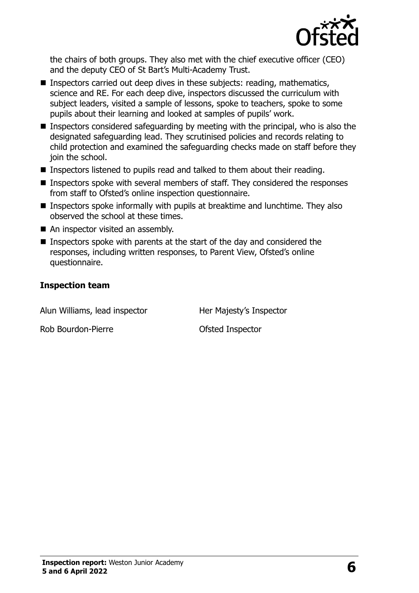

the chairs of both groups. They also met with the chief executive officer (CEO) and the deputy CEO of St Bart's Multi-Academy Trust.

- Inspectors carried out deep dives in these subjects: reading, mathematics, science and RE. For each deep dive, inspectors discussed the curriculum with subject leaders, visited a sample of lessons, spoke to teachers, spoke to some pupils about their learning and looked at samples of pupils' work.
- Inspectors considered safeguarding by meeting with the principal, who is also the designated safeguarding lead. They scrutinised policies and records relating to child protection and examined the safeguarding checks made on staff before they join the school.
- Inspectors listened to pupils read and talked to them about their reading.
- Inspectors spoke with several members of staff. They considered the responses from staff to Ofsted's online inspection questionnaire.
- Inspectors spoke informally with pupils at breaktime and lunchtime. They also observed the school at these times.
- An inspector visited an assembly.
- Inspectors spoke with parents at the start of the day and considered the responses, including written responses, to Parent View, Ofsted's online questionnaire.

#### **Inspection team**

Alun Williams, lead inspector **Her Majesty's Inspector** 

Rob Bourdon-Pierre **Calculation** Ofsted Inspector